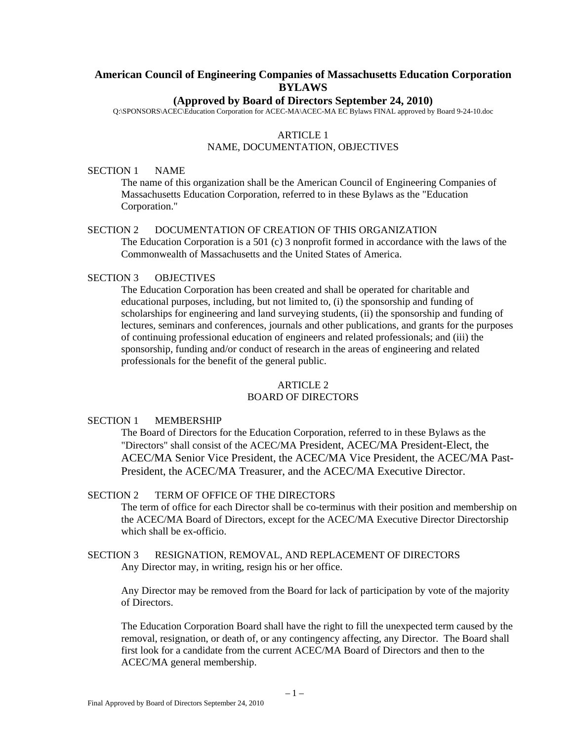# **American Council of Engineering Companies of Massachusetts Education Corporation BYLAWS**

### **(Approved by Board of Directors September 24, 2010)**

Q:\SPONSORS\ACEC\Education Corporation for ACEC-MA\ACEC-MA EC Bylaws FINAL approved by Board 9-24-10.doc

### ARTICLE 1 NAME, DOCUMENTATION, OBJECTIVES

#### SECTION 1 NAME

The name of this organization shall be the American Council of Engineering Companies of Massachusetts Education Corporation*,* referred to in these Bylaws as the "Education Corporation."

### SECTION 2 DOCUMENTATION OF CREATION OF THIS ORGANIZATION

 The Education Corporation is a 501 (c) 3 nonprofit formed in accordance with the laws of the Commonwealth of Massachusetts and the United States of America.

# SECTION 3 OBJECTIVES

The Education Corporation has been created and shall be operated for charitable and educational purposes, including, but not limited to, (i) the sponsorship and funding of scholarships for engineering and land surveying students, (ii) the sponsorship and funding of lectures, seminars and conferences, journals and other publications, and grants for the purposes of continuing professional education of engineers and related professionals; and (iii) the sponsorship, funding and/or conduct of research in the areas of engineering and related professionals for the benefit of the general public.

#### ARTICLE 2 BOARD OF DIRECTORS

# SECTION 1 MEMBERSHIP

The Board of Directors for the Education Corporation, referred to in these Bylaws as the "Directors" shall consist of the ACEC/MA President, ACEC/MA President-Elect, the ACEC/MA Senior Vice President, the ACEC/MA Vice President, the ACEC/MA Past-President, the ACEC/MA Treasurer, and the ACEC/MA Executive Director.

### SECTION 2 TERM OF OFFICE OF THE DIRECTORS

The term of office for each Director shall be co-terminus with their position and membership on the ACEC/MA Board of Directors, except for the ACEC/MA Executive Director Directorship which shall be ex-officio.

SECTION 3 RESIGNATION, REMOVAL, AND REPLACEMENT OF DIRECTORS Any Director may, in writing, resign his or her office.

Any Director may be removed from the Board for lack of participation by vote of the majority of Directors.

The Education Corporation Board shall have the right to fill the unexpected term caused by the removal, resignation, or death of, or any contingency affecting, any Director. The Board shall first look for a candidate from the current ACEC/MA Board of Directors and then to the ACEC/MA general membership.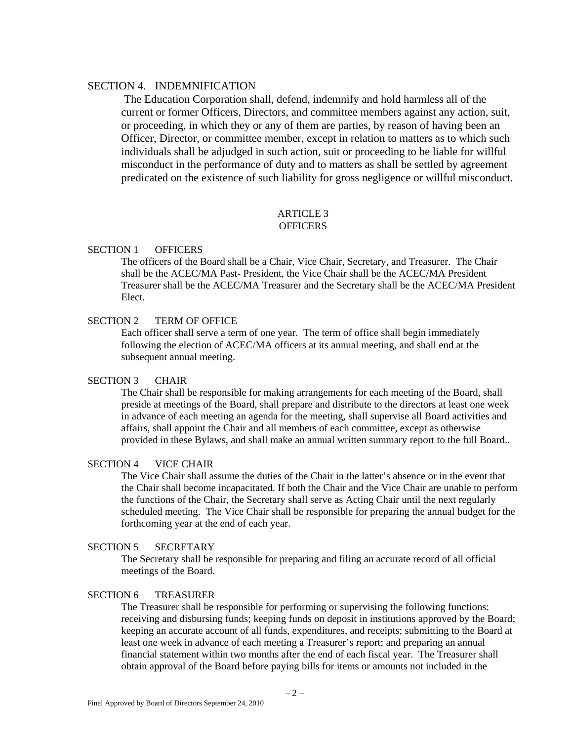# SECTION 4. INDEMNIFICATION

 The Education Corporation shall, defend, indemnify and hold harmless all of the current or former Officers, Directors, and committee members against any action, suit, or proceeding, in which they or any of them are parties, by reason of having been an Officer, Director, or committee member, except in relation to matters as to which such individuals shall be adjudged in such action, suit or proceeding to be liable for willful misconduct in the performance of duty and to matters as shall be settled by agreement predicated on the existence of such liability for gross negligence or willful misconduct.

## ARTICLE 3 **OFFICERS**

### SECTION 1 OFFICERS

The officers of the Board shall be a Chair, Vice Chair, Secretary, and Treasurer. The Chair shall be the ACEC/MA Past- President, the Vice Chair shall be the ACEC/MA President Treasurer shall be the ACEC/MA Treasurer and the Secretary shall be the ACEC/MA President Elect.

# SECTION 2 TERM OF OFFICE

Each officer shall serve a term of one year. The term of office shall begin immediately following the election of ACEC/MA officers at its annual meeting, and shall end at the subsequent annual meeting.

# SECTION 3 CHAIR

The Chair shall be responsible for making arrangements for each meeting of the Board, shall preside at meetings of the Board, shall prepare and distribute to the directors at least one week in advance of each meeting an agenda for the meeting, shall supervise all Board activities and affairs, shall appoint the Chair and all members of each committee, except as otherwise provided in these Bylaws, and shall make an annual written summary report to the full Board..

## SECTION 4 VICE CHAIR

The Vice Chair shall assume the duties of the Chair in the latter's absence or in the event that the Chair shall become incapacitated. If both the Chair and the Vice Chair are unable to perform the functions of the Chair, the Secretary shall serve as Acting Chair until the next regularly scheduled meeting. The Vice Chair shall be responsible for preparing the annual budget for the forthcoming year at the end of each year.

### SECTION 5 SECRETARY

The Secretary shall be responsible for preparing and filing an accurate record of all official meetings of the Board.

#### SECTION 6 TREASURER

The Treasurer shall be responsible for performing or supervising the following functions: receiving and disbursing funds; keeping funds on deposit in institutions approved by the Board; keeping an accurate account of all funds, expenditures, and receipts; submitting to the Board at least one week in advance of each meeting a Treasurer's report; and preparing an annual financial statement within two months after the end of each fiscal year. The Treasurer shall obtain approval of the Board before paying bills for items or amounts not included in the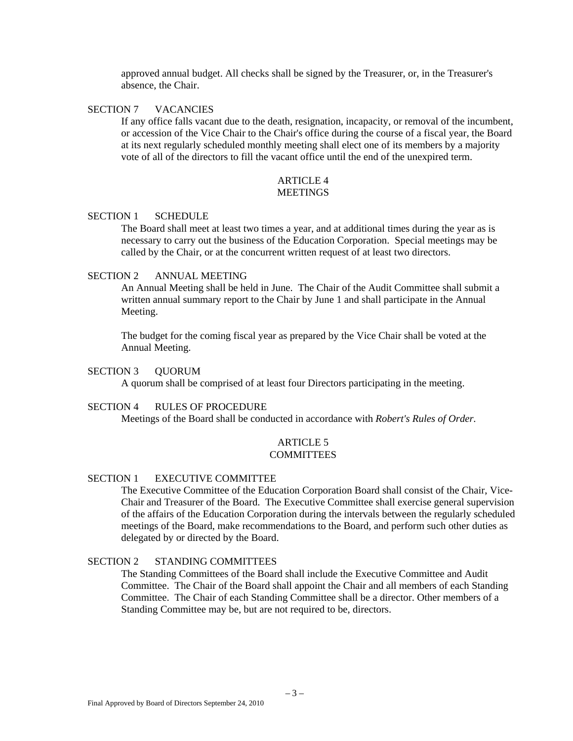approved annual budget. All checks shall be signed by the Treasurer, or, in the Treasurer's absence, the Chair.

### SECTION 7 VACANCIES

If any office falls vacant due to the death, resignation, incapacity, or removal of the incumbent, or accession of the Vice Chair to the Chair's office during the course of a fiscal year, the Board at its next regularly scheduled monthly meeting shall elect one of its members by a majority vote of all of the directors to fill the vacant office until the end of the unexpired term.

### ARTICLE 4 **MEETINGS**

### SECTION 1 SCHEDULE

The Board shall meet at least two times a year, and at additional times during the year as is necessary to carry out the business of the Education Corporation. Special meetings may be called by the Chair, or at the concurrent written request of at least two directors.

### SECTION 2 ANNUAL MEETING

An Annual Meeting shall be held in June. The Chair of the Audit Committee shall submit a written annual summary report to the Chair by June 1 and shall participate in the Annual Meeting.

The budget for the coming fiscal year as prepared by the Vice Chair shall be voted at the Annual Meeting.

### SECTION 3 QUORUM

A quorum shall be comprised of at least four Directors participating in the meeting.

#### SECTION 4 RULES OF PROCEDURE

Meetings of the Board shall be conducted in accordance with *Robert's Rules of Order.* 

#### ARTICLE 5 COMMITTEES

#### SECTION 1 EXECUTIVE COMMITTEE

The Executive Committee of the Education Corporation Board shall consist of the Chair, Vice-Chair and Treasurer of the Board. The Executive Committee shall exercise general supervision of the affairs of the Education Corporation during the intervals between the regularly scheduled meetings of the Board, make recommendations to the Board, and perform such other duties as delegated by or directed by the Board.

# SECTION 2 STANDING COMMITTEES

The Standing Committees of the Board shall include the Executive Committee and Audit Committee. The Chair of the Board shall appoint the Chair and all members of each Standing Committee. The Chair of each Standing Committee shall be a director. Other members of a Standing Committee may be, but are not required to be, directors.